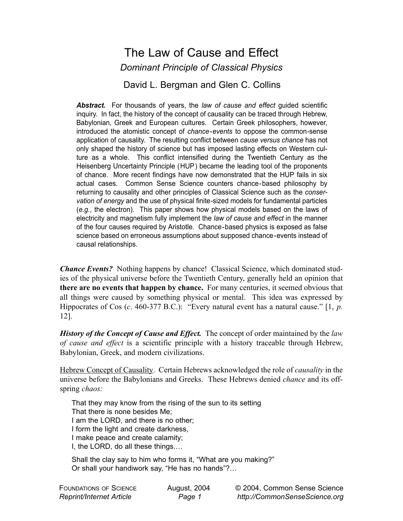## The Law of Cause and Effect *Dominant Principle of Classical Physics*

David L. Bergman and Glen C. Collins

*Abstract.* For thousands of years, the *law of cause and effect* guided scientific inquiry. In fact, the history of the concept of causality can be traced through Hebrew, Babylonian, Greek and European cultures. Certain Greek philosophers, however, introduced the atomistic concept of *chance-events* to oppose the common-sense application of causality. The resulting conflict between *cause versus chance* has not only shaped the history of science but has imposed lasting effects on Western culture as a whole. This conflict intensified during the Twentieth Century as the Heisenberg Uncertainty Principle (HUP) became the leading tool of the proponents of chance. More recent findings have now demonstrated that the HUP fails in six actual cases. Common Sense Science counters chance-based philosophy by returning to causality and other principles of Classical Science such as the *conservation of energy* and the use of physical finite-sized models for fundamental particles (*e.g.*, the electron). This paper shows how physical models based on the laws of electricity and magnetism fully implement the *law of cause and effect* in the manner of the four causes required by Aristotle. Chance-based physics is exposed as false science based on erroneous assumptions about supposed chance-events instead of causal relationships.

*Chance Events?* Nothing happens by chance! Classical Science, which dominated studies of the physical universe before the Twentieth Century, generally held an opinion that **there are no events that happen by chance.** For many centuries, it seemed obvious that all things were caused by something physical or mental. This idea was expressed by Hippocrates of Cos (*c*. 460-377 B.C.): "Every natural event has a natural cause." [1, *p.* 12].

*History of the Concept of Cause and Effect.* The concept of order maintained by the *law of cause and effect* is a scientific principle with a history traceable through Hebrew, Babylonian, Greek, and modern civilizations.

Hebrew Concept of Causality. Certain Hebrews acknowledged the role of *causality* in the universe before the Babylonians and Greeks. These Hebrews denied *chance* and its offspring *chaos:*

That they may know from the rising of the sun to its setting That there is none besides Me; I am the LORD, and there is no other; I form the light and create darkness, I make peace and create calamity; I, the LORD, do all these things.…

Shall the clay say to him who forms it, "What are you making?" Or shall your handiwork say, "He has no hands"?…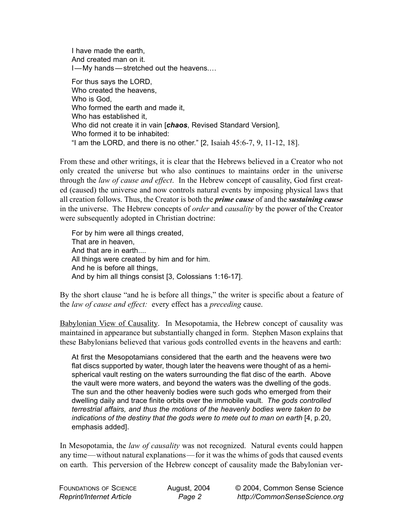I have made the earth, And created man on it. I—My hands — stretched out the heavens.…

For thus says the LORD, Who created the heavens, Who is God, Who formed the earth and made it, Who has established it, Who did not create it in vain [*chaos*, Revised Standard Version], Who formed it to be inhabited: "I am the LORD, and there is no other."  $[2,$  Isaiah  $45:6-7, 9, 11-12, 18]$ .

From these and other writings, it is clear that the Hebrews believed in a Creator who not only created the universe but who also continues to maintains order in the universe through the *law of cause and effect*. In the Hebrew concept of causality, God first created (caused) the universe and now controls natural events by imposing physical laws that all creation follows. Thus, the Creator is both the *prime cause* of and the *sustaining cause* in the universe. The Hebrew concepts of *order* and *causality* by the power of the Creator were subsequently adopted in Christian doctrine:

For by him were all things created, That are in heaven, And that are in earth.... All things were created by him and for him. And he is before all things, And by him all things consist [3, Colossians 1:16-17].

By the short clause "and he is before all things," the writer is specific about a feature of the *law of cause and effect:* every effect has a *preceding* cause.

Babylonian View of Causality. In Mesopotamia, the Hebrew concept of causality was maintained in appearance but substantially changed in form. Stephen Mason explains that these Babylonians believed that various gods controlled events in the heavens and earth:

At first the Mesopotamians considered that the earth and the heavens were two flat discs supported by water, though later the heavens were thought of as a hemispherical vault resting on the waters surrounding the flat disc of the earth. Above the vault were more waters, and beyond the waters was the dwelling of the gods. The sun and the other heavenly bodies were such gods who emerged from their dwelling daily and trace finite orbits over the immobile vault. *The gods controlled terrestrial affairs, and thus the motions of the heavenly bodies were taken to be indications of the destiny that the gods were to mete out to man on earth* [4, p.20, emphasis added].

In Mesopotamia, the *law of causality* was not recognized. Natural events could happen any time—without natural explanations—for it was the whims of gods that caused events on earth. This perversion of the Hebrew concept of causality made the Babylonian ver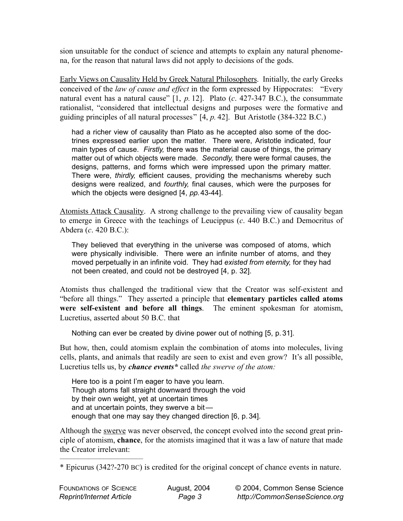sion unsuitable for the conduct of science and attempts to explain any natural phenomena, for the reason that natural laws did not apply to decisions of the gods.

Early Views on Causality Held by Greek Natural Philosophers. Initially, the early Greeks conceived of the *law of cause and effect* in the form expressed by Hippocrates: "Every natural event has a natural cause" [1, *p.* 12]. Plato (*c*. 427-347 B.C.), the consummate rationalist, "considered that intellectual designs and purposes were the formative and guiding principles of all natural processes" [4, *p.* 42]. But Aristotle (384-322 B.C.)

had a richer view of causality than Plato as he accepted also some of the doctrines expressed earlier upon the matter. There were, Aristotle indicated, four main types of cause. *Firstly,* there was the material cause of things, the primary matter out of which objects were made. *Secondly,* there were formal causes, the designs, patterns, and forms which were impressed upon the primary matter. There were, *thirdly,* efficient causes, providing the mechanisms whereby such designs were realized, and *fourthly,* final causes, which were the purposes for which the objects were designed [4, *pp.*43-44].

Atomists Attack Causality. A strong challenge to the prevailing view of causality began to emerge in Greece with the teachings of Leucippus (*c*. 440 B.C.) and Democritus of Abdera (*c*. 420 B.C.):

They believed that everything in the universe was composed of atoms, which were physically indivisible. There were an infinite number of atoms, and they moved perpetually in an infinite void. They had *existed from eternity,* for they had not been created, and could not be destroyed [4, p. 32].

Atomists thus challenged the traditional view that the Creator was self-existent and "before all things." They asserted a principle that **elementary particles called atoms were self-existent and before all things**. The eminent spokesman for atomism, Lucretius, asserted about 50 B.C. that

Nothing can ever be created by divine power out of nothing [5, p. 31].

But how, then, could atomism explain the combination of atoms into molecules, living cells, plants, and animals that readily are seen to exist and even grow? It's all possible, Lucretius tells us, by *chance events\** called *the swerve of the atom:*

Here too is a point I'm eager to have you learn. Though atoms fall straight downward through the void by their own weight, yet at uncertain times and at uncertain points, they swerve a bitenough that one may say they changed direction [6, p. 34].

Although the swerve was never observed, the concept evolved into the second great principle of atomism, **chance**, for the atomists imagined that it was a law of nature that made the Creator irrelevant:

–––––––––––––––––––––––

<sup>\*</sup> Epicurus (342?-270 BC) is credited for the original concept of chance events in nature.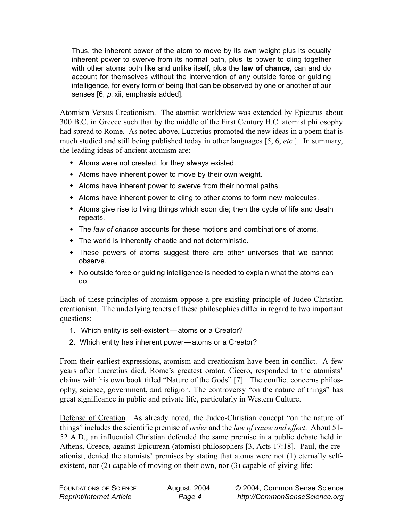Thus, the inherent power of the atom to move by its own weight plus its equally inherent power to swerve from its normal path, plus its power to cling together with other atoms both like and unlike itself, plus the **law of chance**, can and do account for themselves without the intervention of any outside force or guiding intelligence, for every form of being that can be observed by one or another of our senses [6, *p.* xii, emphasis added].

Atomism Versus Creationism. The atomist worldview was extended by Epicurus about 300 B.C. in Greece such that by the middle of the First Century B.C. atomist philosophy had spread to Rome. As noted above, Lucretius promoted the new ideas in a poem that is much studied and still being published today in other languages [5, 6, *etc.*]. In summary, the leading ideas of ancient atomism are:

- Atoms were not created, for they always existed.
- Atoms have inherent power to move by their own weight.
- Atoms have inherent power to swerve from their normal paths.
- Atoms have inherent power to cling to other atoms to form new molecules.
- Atoms give rise to living things which soon die; then the cycle of life and death repeats.
- The *law of chance* accounts for these motions and combinations of atoms.
- The world is inherently chaotic and not deterministic.
- These powers of atoms suggest there are other universes that we cannot observe.
- No outside force or guiding intelligence is needed to explain what the atoms can do.

Each of these principles of atomism oppose a pre-existing principle of Judeo-Christian creationism. The underlying tenets of these philosophies differ in regard to two important questions:

- 1. Which entity is self-existent —atoms or a Creator?
- 2. Which entity has inherent power—atoms or a Creator?

From their earliest expressions, atomism and creationism have been in conflict. A few years after Lucretius died, Rome's greatest orator, Cicero, responded to the atomists' claims with his own book titled "Nature of the Gods" [7]. The conflict concerns philosophy, science, government, and religion. The controversy "on the nature of things" has great significance in public and private life, particularly in Western Culture.

Defense of Creation. As already noted, the Judeo-Christian concept "on the nature of things" includes the scientific premise of *order* and the *law of cause and effect*. About 51- 52 A.D., an influential Christian defended the same premise in a public debate held in Athens, Greece, against Epicurean (atomist) philosophers [3, Acts 17:18]. Paul, the creationist, denied the atomists' premises by stating that atoms were not (1) eternally selfexistent, nor (2) capable of moving on their own, nor (3) capable of giving life: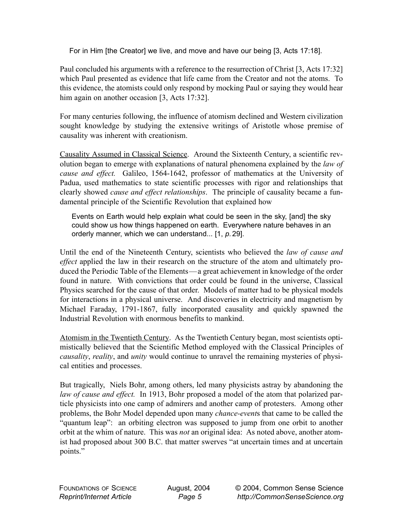For in Him [the Creator] we live, and move and have our being [3, Acts 17:18].

Paul concluded his arguments with a reference to the resurrection of Christ [3, Acts 17:32] which Paul presented as evidence that life came from the Creator and not the atoms. To this evidence, the atomists could only respond by mocking Paul or saying they would hear him again on another occasion [3, Acts 17:32].

For many centuries following, the influence of atomism declined and Western civilization sought knowledge by studying the extensive writings of Aristotle whose premise of causality was inherent with creationism.

Causality Assumed in Classical Science. Around the Sixteenth Century, a scientific revolution began to emerge with explanations of natural phenomena explained by the *law of cause and effect.* Galileo, 1564-1642, professor of mathematics at the University of Padua, used mathematics to state scientific processes with rigor and relationships that clearly showed *cause and effect relationships*. The principle of causality became a fundamental principle of the Scientific Revolution that explained how

Events on Earth would help explain what could be seen in the sky, [and] the sky could show us how things happened on earth. Everywhere nature behaves in an orderly manner, which we can understand... [1, *p.* 29].

Until the end of the Nineteenth Century, scientists who believed the *law of cause and effect* applied the law in their research on the structure of the atom and ultimately produced the Periodic Table of the Elements—a great achievement in knowledge of the order found in nature. With convictions that order could be found in the universe, Classical Physics searched for the cause of that order. Models of matter had to be physical models for interactions in a physical universe. And discoveries in electricity and magnetism by Michael Faraday, 1791-1867, fully incorporated causality and quickly spawned the Industrial Revolution with enormous benefits to mankind.

Atomism in the Twentieth Century. As the Twentieth Century began, most scientists optimistically believed that the Scientific Method employed with the Classical Principles of *causality*, *reality*, and *unity* would continue to unravel the remaining mysteries of physical entities and processes.

But tragically, Niels Bohr, among others, led many physicists astray by abandoning the *law of cause and effect.* In 1913, Bohr proposed a model of the atom that polarized particle physicists into one camp of admirers and another camp of protesters. Among other problems, the Bohr Model depended upon many *chance-event*s that came to be called the "quantum leap": an orbiting electron was supposed to jump from one orbit to another orbit at the whim of nature. This was *not* an original idea: As noted above, another atomist had proposed about 300 B.C. that matter swerves "at uncertain times and at uncertain points."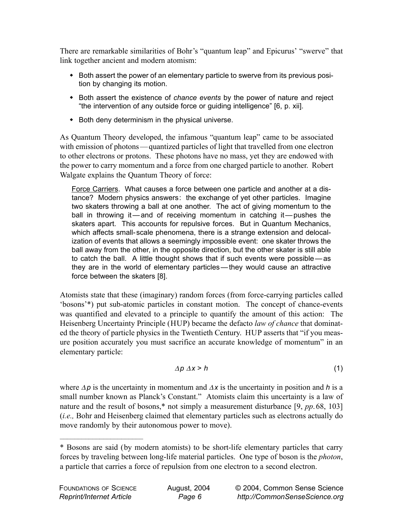There are remarkable similarities of Bohr's "quantum leap" and Epicurus' "swerve" that link together ancient and modern atomism:

- Both assert the power of an elementary particle to swerve from its previous position by changing its motion.
- Both assert the existence of *chance events* by the power of nature and reject "the intervention of any outside force or guiding intelligence" [6, p. xii].
- Both deny determinism in the physical universe.

As Quantum Theory developed, the infamous "quantum leap" came to be associated with emission of photons—quantized particles of light that travelled from one electron to other electrons or protons. These photons have no mass, yet they are endowed with the power to carry momentum and a force from one charged particle to another. Robert Walgate explains the Quantum Theory of force:

Force Carriers. What causes a force between one particle and another at a distance? Modern physics answers: the exchange of yet other particles. Imagine two skaters throwing a ball at one another. The act of giving momentum to the ball in throwing it—and of receiving momentum in catching it—pushes the skaters apart. This accounts for repulsive forces. But in Quantum Mechanics, which affects small-scale phenomena, there is a strange extension and delocalization of events that allows a seemingly impossible event: one skater throws the ball away from the other, in the opposite direction, but the other skater is still able to catch the ball. A little thought shows that if such events were possible — as they are in the world of elementary particles — they would cause an attractive force between the skaters [8].

Atomists state that these (imaginary) random forces (from force-carrying particles called 'bosons'\*) put sub-atomic particles in constant motion. The concept of chance-events was quantified and elevated to a principle to quantify the amount of this action: The Heisenberg Uncertainty Principle (HUP) became the defacto *law of chance* that dominated the theory of particle physics in the Twentieth Century. HUP asserts that "if you measure position accurately you must sacrifice an accurate knowledge of momentum" in an elementary particle:

$$
\Delta p \, \Delta x \geq h \tag{1}
$$

where ∆*p* is the uncertainty in momentum and <sup>∆</sup>*x* is the uncertainty in position and *h* is a small number known as Planck's Constant." Atomists claim this uncertainty is a law of nature and the result of bosons,\* not simply a measurement disturbance [9, *pp*. 68, 103] (*i.e.,* Bohr and Heisenberg claimed that elementary particles such as electrons actually do move randomly by their autonomous power to move).

–––––––––––––––––––––––

<sup>\*</sup> Bosons are said (by modern atomists) to be short-life elementary particles that carry forces by traveling between long-life material particles. One type of boson is the *photon*, a particle that carries a force of repulsion from one electron to a second electron.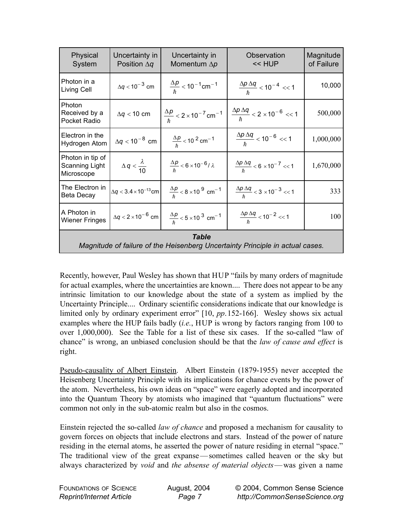| Physical<br>System                                                                            | Uncertainty in<br>Position $\Delta q$ | Uncertainty in<br>Momentum $\Delta p$                           | Observation<br><< HUP                                     | Magnitude<br>of Failure |
|-----------------------------------------------------------------------------------------------|---------------------------------------|-----------------------------------------------------------------|-----------------------------------------------------------|-------------------------|
| Photon in a<br>Living Cell                                                                    | $\Delta q < 10^{-3}$ cm               | $\frac{\Delta p}{\hbar}$ < 10 <sup>-1</sup> cm <sup>-1</sup>    | $\frac{\Delta p \Delta q}{h}$ < 10 <sup>-4</sup> << 1     | 10,000                  |
| <b>Photon</b><br>Received by a<br>Pocket Radio                                                | $\Delta q < 10$ cm                    | $\frac{\Delta p}{h}$ < 2 × 10 <sup>-7</sup> cm <sup>-1</sup>    | $\frac{\Delta p \Delta q}{h}$ 2 \times 10^{-6} << 1       | 500,000                 |
| Electron in the<br>Hydrogen Atom                                                              | $\Delta q < 10^{-8}$ cm               | $\frac{\Delta p}{t}$ < 10 <sup>2</sup> cm <sup>-1</sup>         | $\frac{\Delta p \, \Delta q}{h} < 10^{-6} << 1$           | 1,000,000               |
| Photon in tip of<br>Scanning Light<br>Microscope                                              | $\Delta q < \frac{\lambda}{10}$       | $\frac{\Delta p}{\hbar} < 6 \times 10^{-6} / \lambda$           | $\frac{\Delta p \Delta q}{h}$ < 6 × 10 <sup>-7</sup> << 1 | 1,670,000               |
| The Electron in<br>Beta Decay                                                                 | $\Delta q < 3.4 \times 10^{-13}$ cm   | $\frac{\Delta p}{\hbar}$ < 8 × 10 <sup>9</sup> cm <sup>-1</sup> | $\frac{\Delta p \Delta q}{h}$ 3 \times 10^{-3} << 1       | 333                     |
| A Photon in<br><b>Wiener Fringes</b>                                                          | $\Delta q < 2 \times 10^{-6}$ cm      | $\frac{\Delta p}{t}$ < 5 × 10 <sup>3</sup> cm <sup>-1</sup>     | $\frac{\Delta p \, \Delta q}{\hbar} < 10^{-2} << 1$       | 100                     |
| <b>Table</b><br>Magnitude of failure of the Heisenberg Uncertainty Principle in actual cases. |                                       |                                                                 |                                                           |                         |

Recently, however, Paul Wesley has shown that HUP "fails by many orders of magnitude for actual examples, where the uncertainties are known.... There does not appear to be any intrinsic limitation to our knowledge about the state of a system as implied by the Uncertainty Principle.... Ordinary scientific considerations indicate that our knowledge is limited only by ordinary experiment error" [10, *pp*.152-166]. Wesley shows six actual examples where the HUP fails badly (*i.e.*, HUP is wrong by factors ranging from 100 to over 1,000,000). See the Table for a list of these six cases. If the so-called "law of chance" is wrong, an unbiased conclusion should be that the *law of cause and effect* is right.

Pseudo-causality of Albert Einstein. Albert Einstein (1879-1955) never accepted the Heisenberg Uncertainty Principle with its implications for chance events by the power of the atom. Nevertheless, his own ideas on "space" were eagerly adopted and incorporated into the Quantum Theory by atomists who imagined that "quantum fluctuations" were common not only in the sub-atomic realm but also in the cosmos.

Einstein rejected the so-called *law of chance* and proposed a mechanism for causality to govern forces on objects that include electrons and stars. Instead of the power of nature residing in the eternal atoms, he asserted the power of nature residing in eternal "space." The traditional view of the great expanse—sometimes called heaven or the sky but always characterized by *void* and *the absense of material objects*— was given a name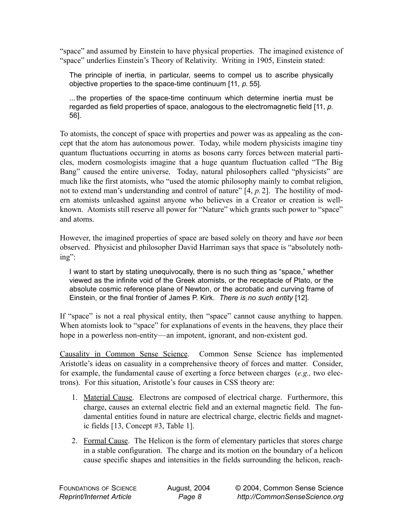"space" and assumed by Einstein to have physical properties. The imagined existence of "space" underlies Einstein's Theory of Relativity. Writing in 1905, Einstein stated:

The principle of inertia, in particular, seems to compel us to ascribe physically objective properties to the space-time continuum [11, *p.* 55].

... the properties of the space-time continuum which determine inertia must be regarded as field properties of space, analogous to the electromagnetic field [11, *p.* 56].

To atomists, the concept of space with properties and power was as appealing as the concept that the atom has autonomous power. Today, while modern physicists imagine tiny quantum fluctuations occurring in atoms as bosons carry forces between material particles, modern cosmologists imagine that a huge quantum fluctuation called "The Big Bang" caused the entire universe. Today, natural philosophers called "physicists" are much like the first atomists, who "used the atomic philosophy mainly to combat religion, not to extend man's understanding and control of nature" [4, *p.*2]. The hostility of modern atomists unleashed against anyone who believes in a Creator or creation is wellknown. Atomists still reserve all power for "Nature" which grants such power to "space" and atoms.

However, the imagined properties of space are based solely on theory and have *not* been observed. Physicist and philosopher David Harriman says that space is "absolutely nothing":

I want to start by stating unequivocally, there is no such thing as "space," whether viewed as the infinite void of the Greek atomists, or the receptacle of Plato, or the absolute cosmic reference plane of Newton, or the acrobatic and curving frame of Einstein, or the final frontier of James P. Kirk. *There is no such entity* [12].

If "space" is not a real physical entity, then "space" cannot cause anything to happen. When atomists look to "space" for explanations of events in the heavens, they place their hope in a powerless non-entity—an impotent, ignorant, and non-existent god.

Causality in Common Sense Science. Common Sense Science has implemented Aristotle's ideas on casuality in a comprehensive theory of forces and matter. Consider, for example, the fundamental cause of exerting a force between charges (*e.g.,* two electrons). For this situation, Aristotle's four causes in CSS theory are:

- 1. Material Cause. Electrons are composed of electrical charge. Furthermore, this charge, causes an external electric field and an external magnetic field. The fundamental entities found in nature are electrical charge, electric fields and magnetic fields [13, Concept #3, Table 1].
- 2. Formal Cause. The Helicon is the form of elementary particles that stores charge in a stable configuration. The charge and its motion on the boundary of a helicon cause specific shapes and intensities in the fields surrounding the helicon, reach-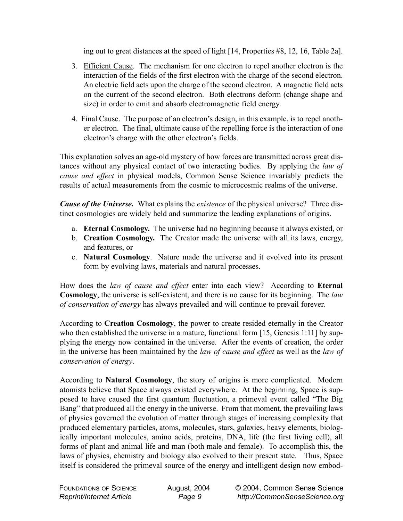ing out to great distances at the speed of light [14, Properties #8, 12, 16, Table 2a].

- 3. Efficient Cause. The mechanism for one electron to repel another electron is the interaction of the fields of the first electron with the charge of the second electron. An electric field acts upon the charge of the second electron. A magnetic field acts on the current of the second electron. Both electrons deform (change shape and size) in order to emit and absorb electromagnetic field energy.
- 4. Final Cause. The purpose of an electron's design, in this example, is to repel another electron. The final, ultimate cause of the repelling force is the interaction of one electron's charge with the other electron's fields.

This explanation solves an age-old mystery of how forces are transmitted across great distances without any physical contact of two interacting bodies. By applying the *law of cause and effect* in physical models, Common Sense Science invariably predicts the results of actual measurements from the cosmic to microcosmic realms of the universe.

*Cause of the Universe.* What explains the *existence* of the physical universe? Three distinct cosmologies are widely held and summarize the leading explanations of origins.

- a. **Eternal Cosmology.** The universe had no beginning because it always existed, or
- b. **Creation Cosmology.** The Creator made the universe with all its laws, energy, and features, or
- c. **Natural Cosmology**. Nature made the universe and it evolved into its present form by evolving laws, materials and natural processes.

How does the *law of cause and effect* enter into each view? According to **Eternal Cosmology**, the universe is self-existent, and there is no cause for its beginning. The *law of conservation of energy* has always prevailed and will continue to prevail forever.

According to **Creation Cosmology**, the power to create resided eternally in the Creator who then established the universe in a mature, functional form [15, Genesis 1:11] by supplying the energy now contained in the universe. After the events of creation, the order in the universe has been maintained by the *law of cause and effect* as well as the *law of conservation of energy*.

According to **Natural Cosmology**, the story of origins is more complicated. Modern atomists believe that Space always existed everywhere. At the beginning, Space is supposed to have caused the first quantum fluctuation, a primeval event called "The Big Bang" that produced all the energy in the universe. From that moment, the prevailing laws of physics governed the evolution of matter through stages of increasing complexity that produced elementary particles, atoms, molecules, stars, galaxies, heavy elements, biologically important molecules, amino acids, proteins, DNA, life (the first living cell), all forms of plant and animal life and man (both male and female). To accomplish this, the laws of physics, chemistry and biology also evolved to their present state. Thus, Space itself is considered the primeval source of the energy and intelligent design now embod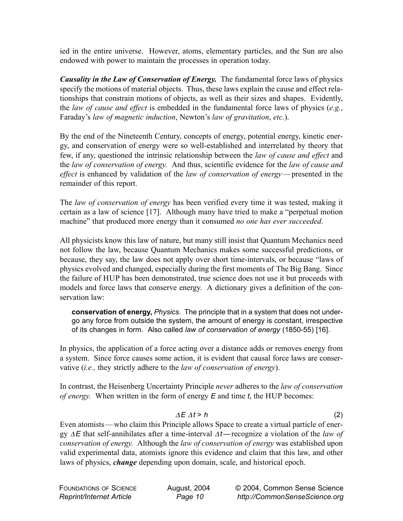ied in the entire universe. However, atoms, elementary particles, and the Sun are also endowed with power to maintain the processes in operation today.

*Causality in the Law of Conservation of Energy.* The fundamental force laws of physics specify the motions of material objects. Thus, these laws explain the cause and effect relationships that constrain motions of objects, as well as their sizes and shapes. Evidently, the *law of cause and effect* is embedded in the fundamental force laws of physics (*e.g.*, Faraday's *law of magnetic induction*, Newton's *law of gravitation*, *etc.*).

By the end of the Nineteenth Century, concepts of energy, potential energy, kinetic energy, and conservation of energy were so well-established and interrelated by theory that few, if any, questioned the intrinsic relationship between the *law of cause and effect* and the *law of conservation of energy.* And thus, scientific evidence for the *law of cause and effect* is enhanced by validation of the *law of conservation of energy*— presented in the remainder of this report.

The *law of conservation of energy* has been verified every time it was tested, making it certain as a law of science [17]. Although many have tried to make a "perpetual motion machine" that produced more energy than it consumed *no one has ever succeeded*.

All physicists know this law of nature, but many still insist that Quantum Mechanics need not follow the law, because Quantum Mechanics makes some successful predictions, or because, they say, the law does not apply over short time-intervals, or because "laws of physics evolved and changed, especially during the first moments of The Big Bang. Since the failure of HUP has been demonstrated, true science does not use it but proceeds with models and force laws that conserve energy. A dictionary gives a definition of the conservation law:

**conservation of energy,** *Physics*. The principle that in a system that does not undergo any force from outside the system, the amount of energy is constant, irrespective of its changes in form. Also called *law of conservation of energy* (1850-55) [16].

In physics, the application of a force acting over a distance adds or removes energy from a system. Since force causes some action, it is evident that causal force laws are conservative (*i.e.,* they strictly adhere to the *law of conservation of energy*).

In contrast, the Heisenberg Uncertainty Principle *never* adheres to the *law of conservation of energy.* When written in the form of energy *E* and time *t*, the HUP becomes:

## <sup>∆</sup>*E* ∆*t* > *h* (2)

Even atomists— who claim this Principle allows Space to create a virtual particle of energy ∆*E* that self-annihilates after a time-interval <sup>∆</sup>*t —*recognize a violation of the *law of conservation of energy.* Although the *law of conservation of energy* was established upon valid experimental data, atomists ignore this evidence and claim that this law, and other laws of physics, *change* depending upon domain, scale, and historical epoch.

| FOUNDATIONS OF SCIENCE                 | August, 2004 | © 2004, Common Sense Science  |
|----------------------------------------|--------------|-------------------------------|
| <i><b>Reprint/Internet Article</b></i> | Page 10      | http://CommonSenseScience.org |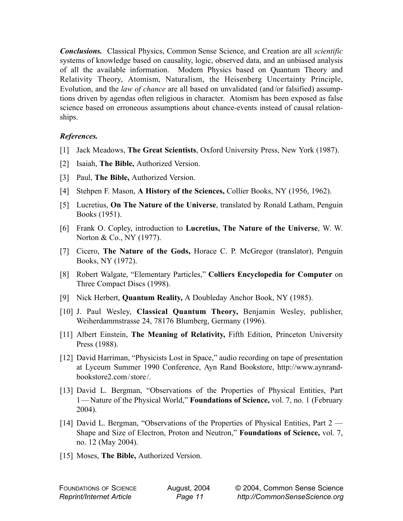*Conclusions.* Classical Physics, Common Sense Science, and Creation are all *scientific* systems of knowledge based on causality, logic, observed data, and an unbiased analysis of all the available information. Modern Physics based on Quantum Theory and Relativity Theory, Atomism, Naturalism, the Heisenberg Uncertainty Principle, Evolution, and the *law of chance* are all based on unvalidated (and /or falsified) assumptions driven by agendas often religious in character. Atomism has been exposed as false science based on erroneous assumptions about chance-events instead of causal relationships.

## *References.*

- [1] Jack Meadows, **The Great Scientists**, Oxford University Press, New York (1987).
- [2] Isaiah, **The Bible,** Authorized Version.
- [3] Paul, **The Bible,** Authorized Version.
- [4] Stehpen F. Mason, **A History of the Sciences,** Collier Books, NY (1956, 1962).
- [5] Lucretius, **On The Nature of the Universe**, translated by Ronald Latham, Penguin Books (1951).
- [6] Frank O. Copley, introduction to **Lucretius, The Nature of the Universe**, W. W. Norton & Co., NY (1977).
- [7] Cicero, **The Nature of the Gods,** Horace C. P. McGregor (translator), Penguin Books, NY (1972).
- [8] Robert Walgate, "Elementary Particles," **Colliers Encyclopedia for Computer** on Three Compact Discs (1998).
- [9] Nick Herbert, **Quantum Reality,** A Doubleday Anchor Book, NY (1985).
- [10] J. Paul Wesley, **Classical Quantum Theory,** Benjamin Wesley, publisher, Weiherdammstrasse 24, 78176 Blumberg, Germany (1996).
- [11] Albert Einstein, **The Meaning of Relativity,** Fifth Edition, Princeton University Press (1988).
- [12] David Harriman, "Physicists Lost in Space," audio recording on tape of presentation at Lyceum Summer 1990 Conference, Ayn Rand Bookstore, http://www.aynrandbookstore2.com/store/.
- [13] David L. Bergman, "Observations of the Properties of Physical Entities, Part 1 — Nature of the Physical World," **Foundations of Science,** vol. 7, no. 1 (February 2004).
- [14] David L. Bergman, "Observations of the Properties of Physical Entities, Part 2 Shape and Size of Electron, Proton and Neutron," **Foundations of Science,** vol. 7, no. 12 (May 2004).
- [15] Moses, **The Bible,** Authorized Version.